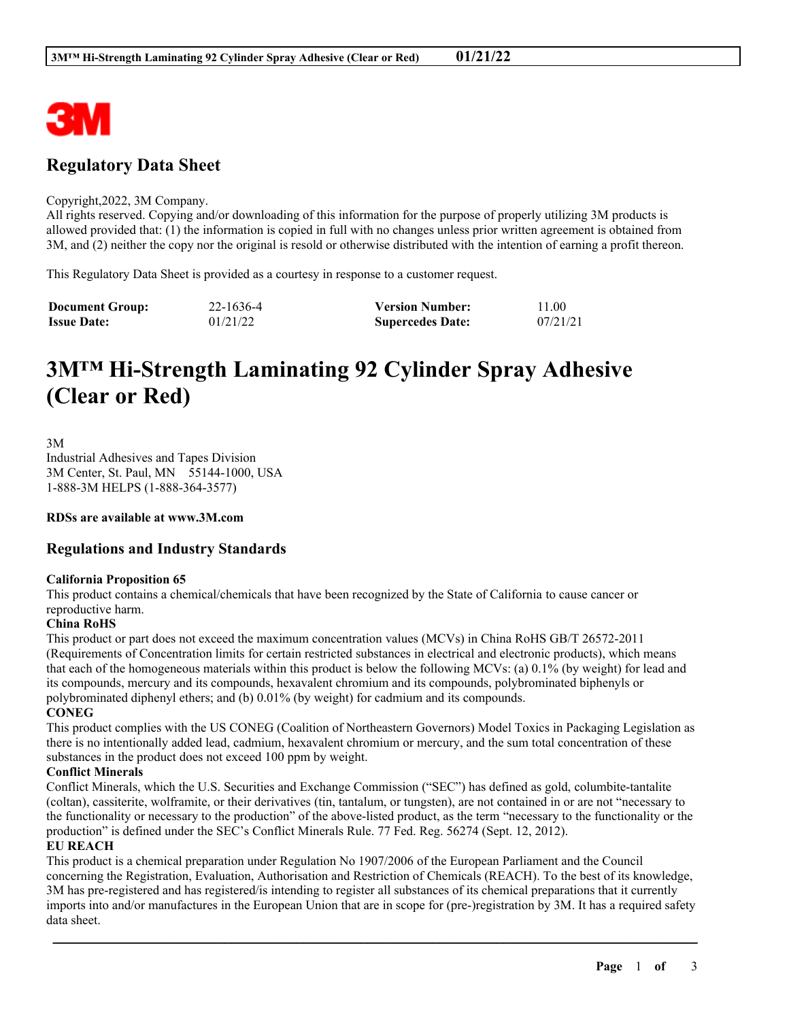

# **Regulatory Data Sheet**

#### Copyright,2022, 3M Company.

All rights reserved. Copying and/or downloading of this information for the purpose of properly utilizing 3M products is allowed provided that: (1) the information is copied in full with no changes unless prior written agreement is obtained from 3M, and (2) neither the copy nor the original is resold or otherwise distributed with the intention of earning a profit thereon.

This Regulatory Data Sheet is provided as a courtesy in response to a customer request.

| <b>Document Group:</b> | 22-1636-4 | <b>Version Number:</b>  | 11.00    |
|------------------------|-----------|-------------------------|----------|
| <b>Issue Date:</b>     | 01/21/22  | <b>Supercedes Date:</b> | 07/21/21 |

# **3M™ Hi-Strength Laminating 92 Cylinder Spray Adhesive (Clear or Red)**

3M Industrial Adhesives and Tapes Division 3M Center, St. Paul, MN 55144-1000, USA 1-888-3M HELPS (1-888-364-3577)

**RDSs are available at www.3M.com**

# **Regulations and Industry Standards**

#### **California Proposition 65**

This product contains a chemical/chemicals that have been recognized by the State of California to cause cancer or reproductive harm.

## **China RoHS**

This product or part does not exceed the maximum concentration values (MCVs) in China RoHS GB/T 26572-2011 (Requirements of Concentration limits for certain restricted substances in electrical and electronic products), which means that each of the homogeneous materials within this product is below the following MCVs: (a) 0.1% (by weight) for lead and its compounds, mercury and its compounds, hexavalent chromium and its compounds, polybrominated biphenyls or polybrominated diphenyl ethers; and (b) 0.01% (by weight) for cadmium and its compounds.

**CONEG**

This product complies with the US CONEG (Coalition of Northeastern Governors) Model Toxics in Packaging Legislation as there is no intentionally added lead, cadmium, hexavalent chromium or mercury, and the sum total concentration of these substances in the product does not exceed 100 ppm by weight.

#### **Conflict Minerals**

Conflict Minerals, which the U.S. Securities and Exchange Commission ("SEC") has defined as gold, columbite-tantalite (coltan), cassiterite, wolframite, or their derivatives (tin, tantalum, or tungsten), are not contained in or are not "necessary to the functionality or necessary to the production" of the above-listed product, as the term "necessary to the functionality or the production" is defined under the SEC's Conflict Minerals Rule. 77 Fed. Reg. 56274 (Sept. 12, 2012).

#### **EU REACH**

This product is a chemical preparation under Regulation No 1907/2006 of the European Parliament and the Council concerning the Registration, Evaluation, Authorisation and Restriction of Chemicals (REACH). To the best of its knowledge, 3M has pre-registered and has registered/is intending to register all substances of its chemical preparations that it currently imports into and/or manufactures in the European Union that are in scope for (pre-)registration by 3M. It has a required safety data sheet.

\_\_\_\_\_\_\_\_\_\_\_\_\_\_\_\_\_\_\_\_\_\_\_\_\_\_\_\_\_\_\_\_\_\_\_\_\_\_\_\_\_\_\_\_\_\_\_\_\_\_\_\_\_\_\_\_\_\_\_\_\_\_\_\_\_\_\_\_\_\_\_\_\_\_\_\_\_\_\_\_\_\_\_\_\_\_\_\_\_\_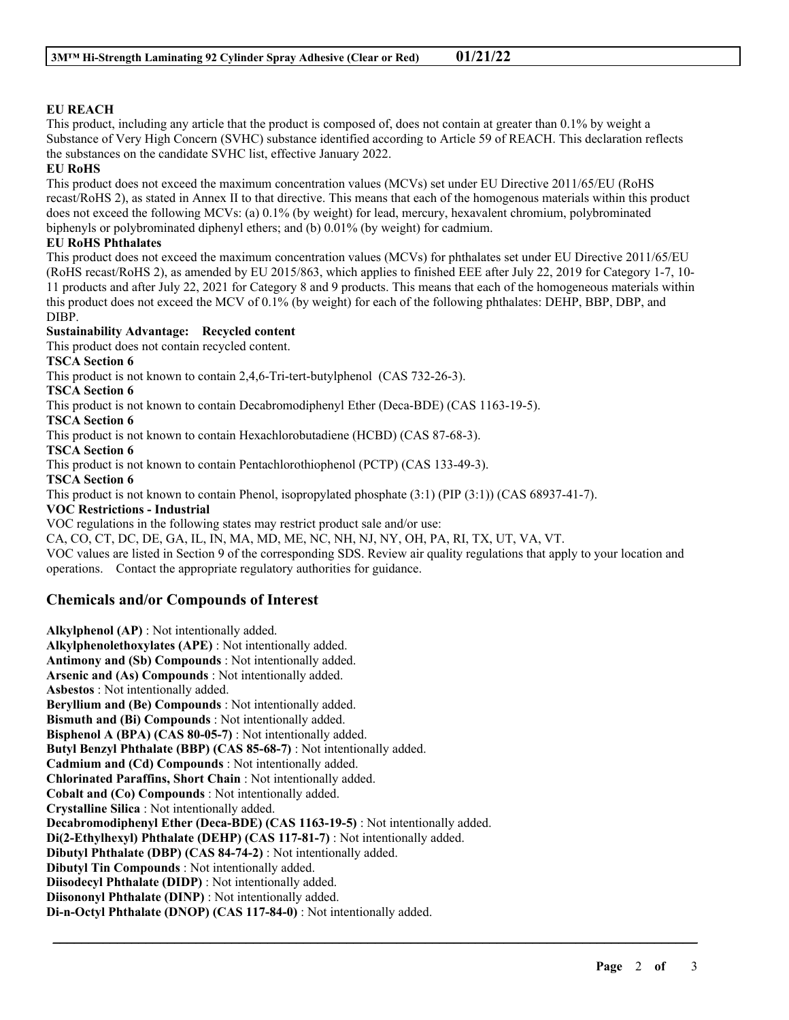### **EU REACH**

This product, including any article that the product is composed of, does not contain at greater than 0.1% by weight a Substance of Very High Concern (SVHC) substance identified according to Article 59 of REACH. This declaration reflects the substances on the candidate SVHC list, effective January 2022.

#### **EU RoHS**

This product does not exceed the maximum concentration values (MCVs) set under EU Directive 2011/65/EU (RoHS recast/RoHS 2), as stated in Annex II to that directive. This means that each of the homogenous materials within this product does not exceed the following MCVs: (a) 0.1% (by weight) for lead, mercury, hexavalent chromium, polybrominated biphenyls or polybrominated diphenyl ethers; and (b) 0.01% (by weight) for cadmium.

### **EU RoHS Phthalates**

This product does not exceed the maximum concentration values (MCVs) for phthalates set under EU Directive 2011/65/EU (RoHS recast/RoHS 2), as amended by EU 2015/863, which applies to finished EEE after July 22, 2019 for Category 1-7, 10- 11 products and after July 22, 2021 for Category 8 and 9 products. This means that each of the homogeneous materials within this product does not exceed the MCV of 0.1% (by weight) for each of the following phthalates: DEHP, BBP, DBP, and DIBP.

### **Sustainability Advantage: Recycled content**

This product does not contain recycled content.

### **TSCA Section 6**

This product is not known to contain 2,4,6-Tri-tert-butylphenol (CAS 732-26-3).

**TSCA Section 6**

This product is not known to contain Decabromodiphenyl Ether (Deca-BDE) (CAS 1163-19-5).

**TSCA Section 6**

This product is not known to contain Hexachlorobutadiene (HCBD) (CAS 87-68-3).

**TSCA Section 6**

This product is not known to contain Pentachlorothiophenol (PCTP) (CAS 133-49-3).

**TSCA Section 6**

This product is not known to contain Phenol, isopropylated phosphate (3:1) (PIP (3:1)) (CAS 68937-41-7).

#### **VOC Restrictions - Industrial**

VOC regulations in the following states may restrict product sale and/or use:

CA, CO, CT, DC, DE, GA, IL, IN, MA, MD, ME, NC, NH, NJ, NY, OH, PA, RI, TX, UT, VA, VT.

VOC values are listed in Section 9 of the corresponding SDS. Review air quality regulations that apply to your location and operations. Contact the appropriate regulatory authorities for guidance.

\_\_\_\_\_\_\_\_\_\_\_\_\_\_\_\_\_\_\_\_\_\_\_\_\_\_\_\_\_\_\_\_\_\_\_\_\_\_\_\_\_\_\_\_\_\_\_\_\_\_\_\_\_\_\_\_\_\_\_\_\_\_\_\_\_\_\_\_\_\_\_\_\_\_\_\_\_\_\_\_\_\_\_\_\_\_\_\_\_\_

# **Chemicals and/or Compounds of Interest**

**Alkylphenol (AP)** : Not intentionally added. **Alkylphenolethoxylates (APE)** : Not intentionally added. **Antimony and (Sb) Compounds** : Not intentionally added. **Arsenic and (As) Compounds** : Not intentionally added. **Asbestos** : Not intentionally added. **Beryllium and (Be) Compounds** : Not intentionally added. **Bismuth and (Bi) Compounds** : Not intentionally added. **Bisphenol A (BPA) (CAS 80-05-7)** : Not intentionally added. **Butyl Benzyl Phthalate (BBP) (CAS 85-68-7)** : Not intentionally added. **Cadmium and (Cd) Compounds** : Not intentionally added. **Chlorinated Paraffins, Short Chain** : Not intentionally added. **Cobalt and (Co) Compounds** : Not intentionally added. **Crystalline Silica** : Not intentionally added. **Decabromodiphenyl Ether (Deca-BDE) (CAS 1163-19-5)** : Not intentionally added. **Di(2-Ethylhexyl) Phthalate (DEHP) (CAS 117-81-7)** : Not intentionally added. **Dibutyl Phthalate (DBP) (CAS 84-74-2)** : Not intentionally added. **Dibutyl Tin Compounds** : Not intentionally added. **Diisodecyl Phthalate (DIDP)** : Not intentionally added. **Diisononyl Phthalate (DINP)** : Not intentionally added. **Di-n-Octyl Phthalate (DNOP) (CAS 117-84-0)** : Not intentionally added.